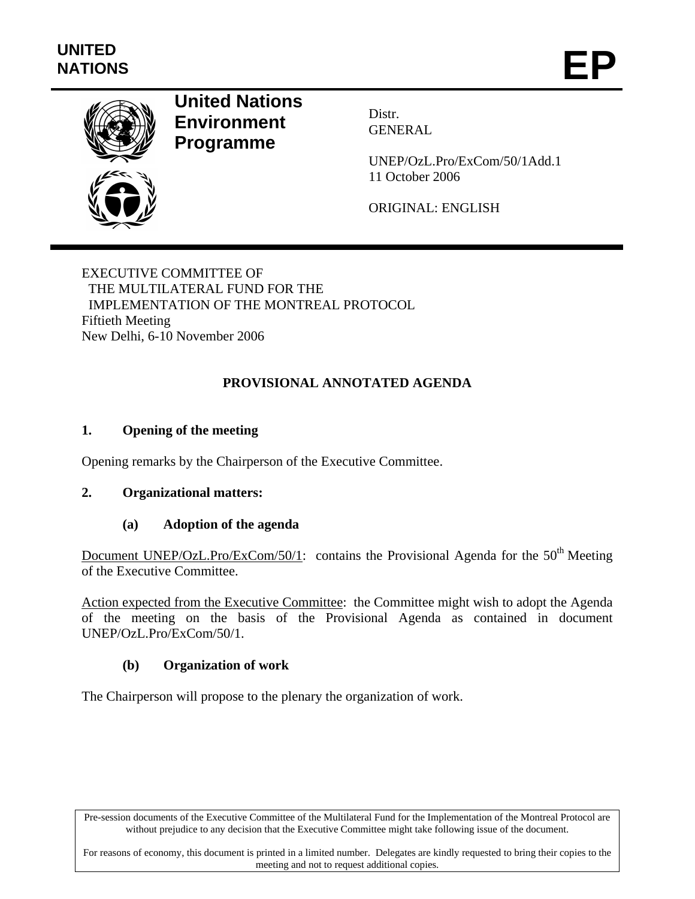

# **United Nations Environment Programme**

Distr. GENERAL

UNEP/OzL.Pro/ExCom/50/1Add.1 11 October 2006

ORIGINAL: ENGLISH

# EXECUTIVE COMMITTEE OF THE MULTILATERAL FUND FOR THE IMPLEMENTATION OF THE MONTREAL PROTOCOL Fiftieth Meeting New Delhi, 6-10 November 2006

# **PROVISIONAL ANNOTATED AGENDA**

# **1. Opening of the meeting**

Opening remarks by the Chairperson of the Executive Committee.

# **2. Organizational matters:**

# **(a) Adoption of the agenda**

Document UNEP/OzL.Pro/ExCom/50/1: contains the Provisional Agenda for the  $50<sup>th</sup>$  Meeting of the Executive Committee.

Action expected from the Executive Committee: the Committee might wish to adopt the Agenda of the meeting on the basis of the Provisional Agenda as contained in document UNEP/OzL.Pro/ExCom/50/1.

# **(b) Organization of work**

The Chairperson will propose to the plenary the organization of work.

Pre-session documents of the Executive Committee of the Multilateral Fund for the Implementation of the Montreal Protocol are without prejudice to any decision that the Executive Committee might take following issue of the document.

For reasons of economy, this document is printed in a limited number. Delegates are kindly requested to bring their copies to the meeting and not to request additional copies.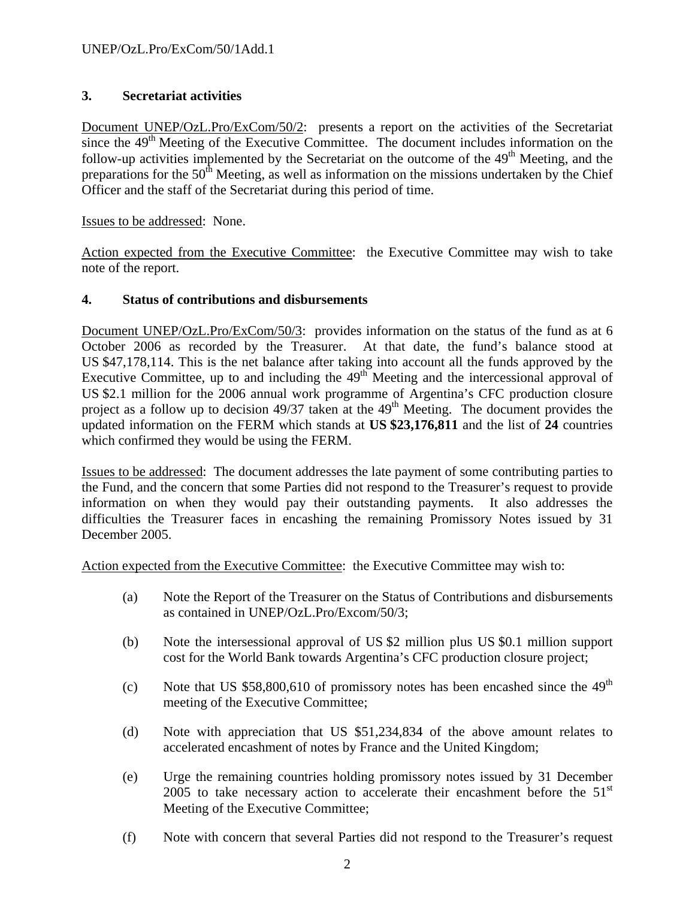# **3. Secretariat activities**

Document UNEP/OzL.Pro/ExCom/50/2: presents a report on the activities of the Secretariat since the  $49<sup>th</sup>$  Meeting of the Executive Committee. The document includes information on the follow-up activities implemented by the Secretariat on the outcome of the  $49<sup>th</sup>$  Meeting, and the preparations for the  $50<sup>th</sup>$  Meeting, as well as information on the missions undertaken by the Chief Officer and the staff of the Secretariat during this period of time.

Issues to be addressed: None.

Action expected from the Executive Committee: the Executive Committee may wish to take note of the report.

### **4. Status of contributions and disbursements**

Document UNEP/OzL.Pro/ExCom/50/3: provides information on the status of the fund as at 6 October 2006 as recorded by the Treasurer. At that date, the fund's balance stood at US \$47,178,114. This is the net balance after taking into account all the funds approved by the Executive Committee, up to and including the  $49<sup>th</sup>$  Meeting and the intercessional approval of US \$2.1 million for the 2006 annual work programme of Argentina's CFC production closure project as a follow up to decision  $49/37$  taken at the  $49<sup>th</sup>$  Meeting. The document provides the updated information on the FERM which stands at **US \$23,176,811** and the list of **24** countries which confirmed they would be using the FERM.

Issues to be addressed: The document addresses the late payment of some contributing parties to the Fund, and the concern that some Parties did not respond to the Treasurer's request to provide information on when they would pay their outstanding payments. It also addresses the difficulties the Treasurer faces in encashing the remaining Promissory Notes issued by 31 December 2005.

Action expected from the Executive Committee: the Executive Committee may wish to:

- (a) Note the Report of the Treasurer on the Status of Contributions and disbursements as contained in UNEP/OzL.Pro/Excom/50/3;
- (b) Note the intersessional approval of US \$2 million plus US \$0.1 million support cost for the World Bank towards Argentina's CFC production closure project;
- (c) Note that US  $$58,800,610$  of promissory notes has been encashed since the  $49<sup>th</sup>$ meeting of the Executive Committee;
- (d) Note with appreciation that US \$51,234,834 of the above amount relates to accelerated encashment of notes by France and the United Kingdom;
- (e) Urge the remaining countries holding promissory notes issued by 31 December 2005 to take necessary action to accelerate their encashment before the  $51<sup>st</sup>$ Meeting of the Executive Committee;
- (f) Note with concern that several Parties did not respond to the Treasurer's request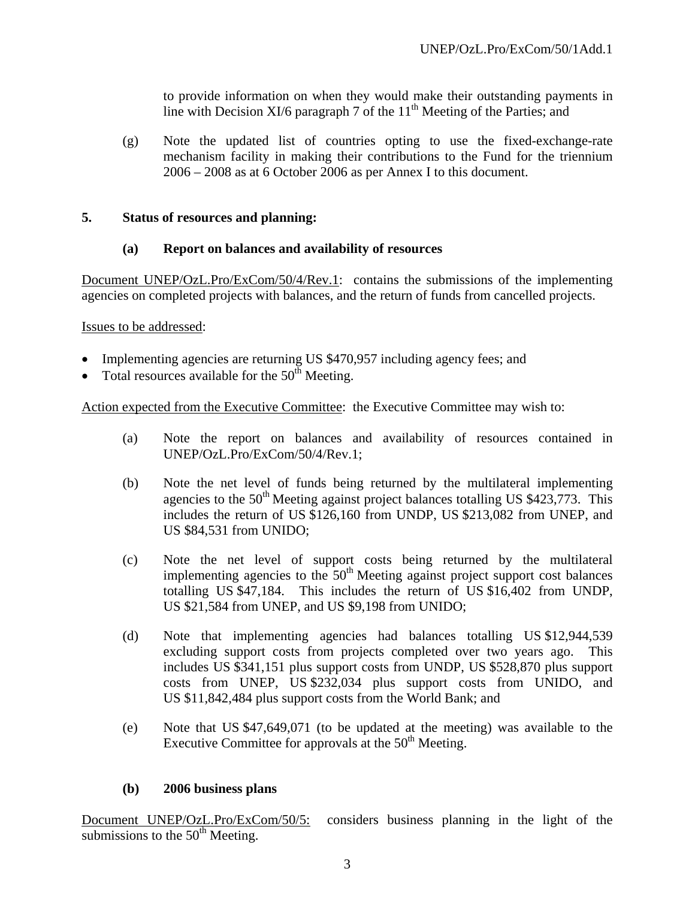to provide information on when they would make their outstanding payments in line with Decision XI/6 paragraph 7 of the  $11<sup>th</sup>$  Meeting of the Parties; and

(g) Note the updated list of countries opting to use the fixed-exchange-rate mechanism facility in making their contributions to the Fund for the triennium 2006 – 2008 as at 6 October 2006 as per Annex I to this document.

### **5. Status of resources and planning:**

### **(a) Report on balances and availability of resources**

Document UNEP/OzL.Pro/ExCom/50/4/Rev.1: contains the submissions of the implementing agencies on completed projects with balances, and the return of funds from cancelled projects.

Issues to be addressed:

- Implementing agencies are returning US \$470,957 including agency fees; and
- Total resources available for the  $50<sup>th</sup>$  Meeting.

Action expected from the Executive Committee: the Executive Committee may wish to:

- (a) Note the report on balances and availability of resources contained in UNEP/OzL.Pro/ExCom/50/4/Rev.1;
- (b) Note the net level of funds being returned by the multilateral implementing agencies to the  $50<sup>th</sup>$  Meeting against project balances totalling US \$423,773. This includes the return of US \$126,160 from UNDP, US \$213,082 from UNEP, and US \$84,531 from UNIDO;
- (c) Note the net level of support costs being returned by the multilateral implementing agencies to the  $50<sup>th</sup>$  Meeting against project support cost balances totalling US \$47,184. This includes the return of US \$16,402 from UNDP, US \$21,584 from UNEP, and US \$9,198 from UNIDO;
- (d) Note that implementing agencies had balances totalling US \$12,944,539 excluding support costs from projects completed over two years ago. This includes US \$341,151 plus support costs from UNDP, US \$528,870 plus support costs from UNEP, US \$232,034 plus support costs from UNIDO, and US \$11,842,484 plus support costs from the World Bank; and
- (e) Note that US \$47,649,071 (to be updated at the meeting) was available to the Executive Committee for approvals at the  $50<sup>th</sup>$  Meeting.

### **(b) 2006 business plans**

Document UNEP/OzL.Pro/ExCom/50/5: considers business planning in the light of the submissions to the  $50<sup>th</sup>$  Meeting.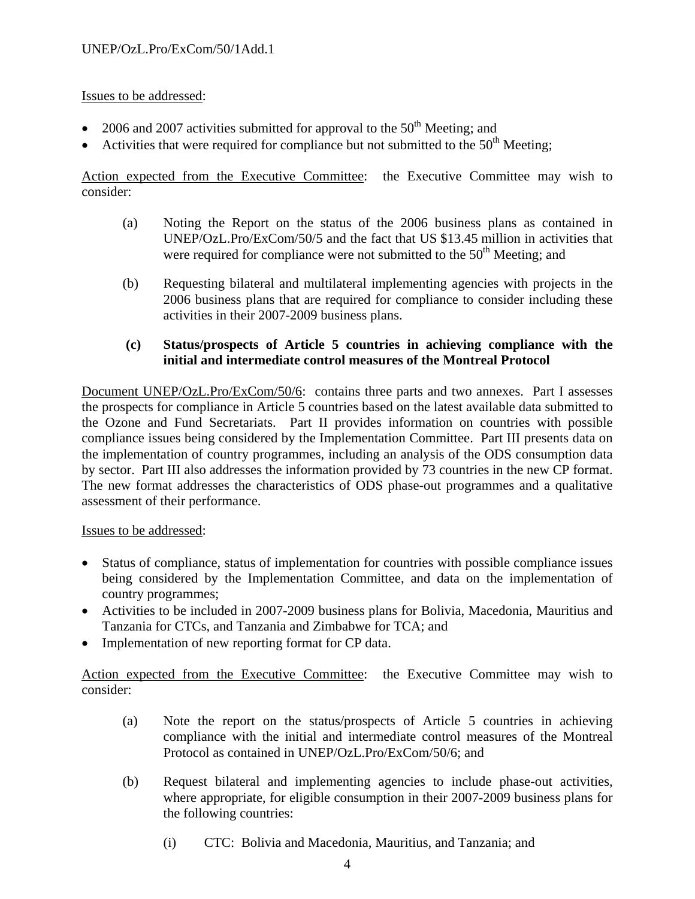- 2006 and 2007 activities submitted for approval to the  $50<sup>th</sup>$  Meeting; and
- Activities that were required for compliance but not submitted to the  $50<sup>th</sup>$  Meeting;

Action expected from the Executive Committee: the Executive Committee may wish to consider:

- (a) Noting the Report on the status of the 2006 business plans as contained in UNEP/OzL.Pro/ExCom/50/5 and the fact that US \$13.45 million in activities that were required for compliance were not submitted to the  $50<sup>th</sup>$  Meeting; and
- (b) Requesting bilateral and multilateral implementing agencies with projects in the 2006 business plans that are required for compliance to consider including these activities in their 2007-2009 business plans.

### **(c) Status/prospects of Article 5 countries in achieving compliance with the initial and intermediate control measures of the Montreal Protocol**

Document UNEP/OzL.Pro/ExCom/50/6: contains three parts and two annexes. Part I assesses the prospects for compliance in Article 5 countries based on the latest available data submitted to the Ozone and Fund Secretariats. Part II provides information on countries with possible compliance issues being considered by the Implementation Committee. Part III presents data on the implementation of country programmes, including an analysis of the ODS consumption data by sector. Part III also addresses the information provided by 73 countries in the new CP format. The new format addresses the characteristics of ODS phase-out programmes and a qualitative assessment of their performance.

Issues to be addressed:

- Status of compliance, status of implementation for countries with possible compliance issues being considered by the Implementation Committee, and data on the implementation of country programmes;
- Activities to be included in 2007-2009 business plans for Bolivia, Macedonia, Mauritius and Tanzania for CTCs, and Tanzania and Zimbabwe for TCA; and
- Implementation of new reporting format for CP data.

Action expected from the Executive Committee: the Executive Committee may wish to consider:

- (a) Note the report on the status/prospects of Article 5 countries in achieving compliance with the initial and intermediate control measures of the Montreal Protocol as contained in UNEP/OzL.Pro/ExCom/50/6; and
- (b) Request bilateral and implementing agencies to include phase-out activities, where appropriate, for eligible consumption in their 2007-2009 business plans for the following countries:
	- (i) CTC: Bolivia and Macedonia, Mauritius, and Tanzania; and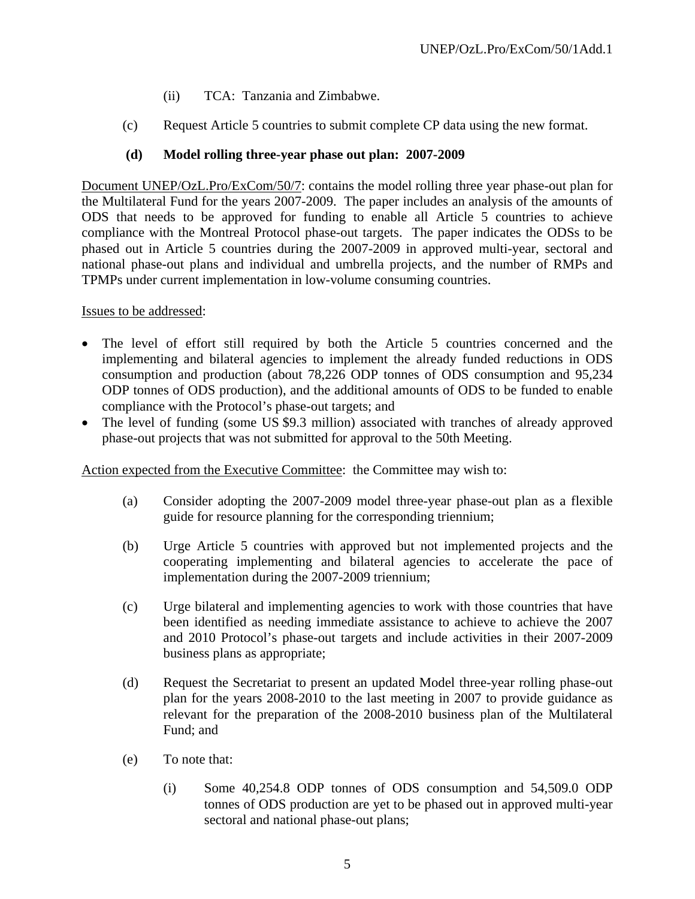- (ii) TCA: Tanzania and Zimbabwe.
- (c) Request Article 5 countries to submit complete CP data using the new format.

# **(d) Model rolling three-year phase out plan: 2007-2009**

Document UNEP/OzL.Pro/ExCom/50/7: contains the model rolling three year phase-out plan for the Multilateral Fund for the years 2007-2009. The paper includes an analysis of the amounts of ODS that needs to be approved for funding to enable all Article 5 countries to achieve compliance with the Montreal Protocol phase-out targets. The paper indicates the ODSs to be phased out in Article 5 countries during the 2007-2009 in approved multi-year, sectoral and national phase-out plans and individual and umbrella projects, and the number of RMPs and TPMPs under current implementation in low-volume consuming countries.

Issues to be addressed:

- The level of effort still required by both the Article 5 countries concerned and the implementing and bilateral agencies to implement the already funded reductions in ODS consumption and production (about 78,226 ODP tonnes of ODS consumption and 95,234 ODP tonnes of ODS production), and the additional amounts of ODS to be funded to enable compliance with the Protocol's phase-out targets; and
- The level of funding (some US \$9.3 million) associated with tranches of already approved phase-out projects that was not submitted for approval to the 50th Meeting.

Action expected from the Executive Committee: the Committee may wish to:

- (a) Consider adopting the 2007-2009 model three-year phase-out plan as a flexible guide for resource planning for the corresponding triennium;
- (b) Urge Article 5 countries with approved but not implemented projects and the cooperating implementing and bilateral agencies to accelerate the pace of implementation during the 2007-2009 triennium;
- (c) Urge bilateral and implementing agencies to work with those countries that have been identified as needing immediate assistance to achieve to achieve the 2007 and 2010 Protocol's phase-out targets and include activities in their 2007-2009 business plans as appropriate;
- (d) Request the Secretariat to present an updated Model three-year rolling phase-out plan for the years 2008-2010 to the last meeting in 2007 to provide guidance as relevant for the preparation of the 2008-2010 business plan of the Multilateral Fund; and
- (e) To note that:
	- (i) Some 40,254.8 ODP tonnes of ODS consumption and 54,509.0 ODP tonnes of ODS production are yet to be phased out in approved multi-year sectoral and national phase-out plans;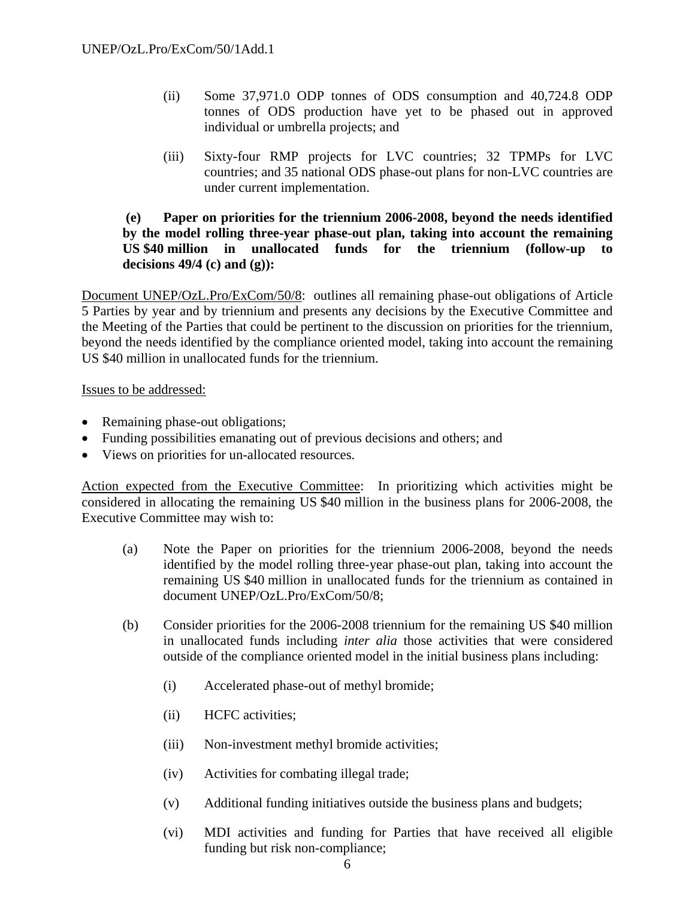- (ii) Some 37,971.0 ODP tonnes of ODS consumption and 40,724.8 ODP tonnes of ODS production have yet to be phased out in approved individual or umbrella projects; and
- (iii) Sixty-four RMP projects for LVC countries; 32 TPMPs for LVC countries; and 35 national ODS phase-out plans for non-LVC countries are under current implementation.

### **(e) Paper on priorities for the triennium 2006-2008, beyond the needs identified by the model rolling three-year phase-out plan, taking into account the remaining US \$40 million in unallocated funds for the triennium (follow-up to decisions 49/4 (c) and (g)):**

Document UNEP/OzL.Pro/ExCom/50/8: outlines all remaining phase-out obligations of Article 5 Parties by year and by triennium and presents any decisions by the Executive Committee and the Meeting of the Parties that could be pertinent to the discussion on priorities for the triennium, beyond the needs identified by the compliance oriented model, taking into account the remaining US \$40 million in unallocated funds for the triennium.

Issues to be addressed:

- Remaining phase-out obligations;
- Funding possibilities emanating out of previous decisions and others; and
- Views on priorities for un-allocated resources.

Action expected from the Executive Committee: In prioritizing which activities might be considered in allocating the remaining US \$40 million in the business plans for 2006-2008, the Executive Committee may wish to:

- (a) Note the Paper on priorities for the triennium 2006-2008, beyond the needs identified by the model rolling three-year phase-out plan, taking into account the remaining US \$40 million in unallocated funds for the triennium as contained in document UNEP/OzL.Pro/ExCom/50/8;
- (b) Consider priorities for the 2006-2008 triennium for the remaining US \$40 million in unallocated funds including *inter alia* those activities that were considered outside of the compliance oriented model in the initial business plans including:
	- (i) Accelerated phase-out of methyl bromide;
	- (ii) HCFC activities;
	- (iii) Non-investment methyl bromide activities;
	- (iv) Activities for combating illegal trade;
	- (v) Additional funding initiatives outside the business plans and budgets;
	- (vi) MDI activities and funding for Parties that have received all eligible funding but risk non-compliance;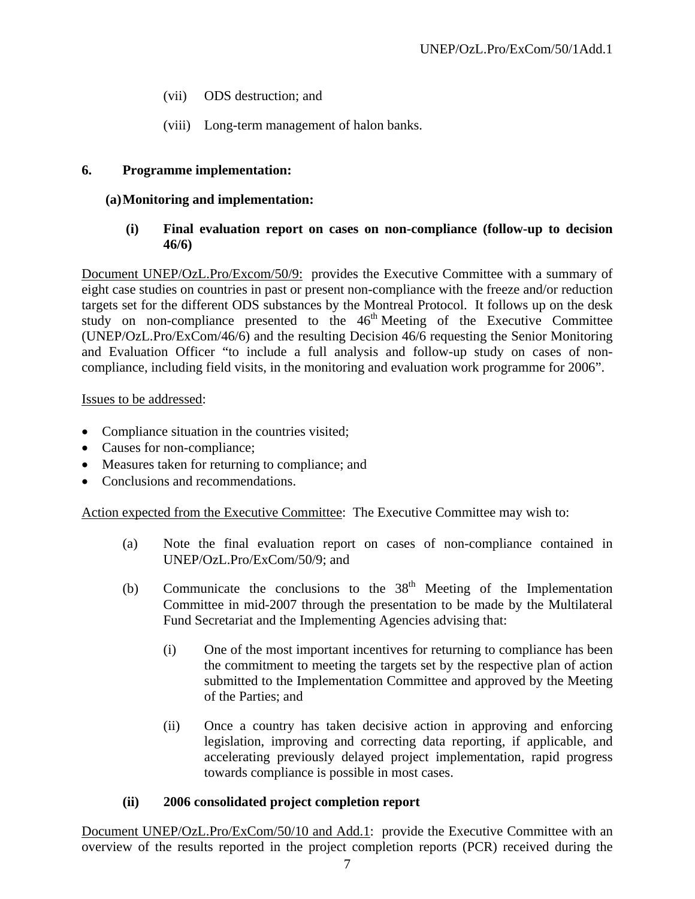- (vii) ODS destruction; and
- (viii) Long-term management of halon banks.

### **6. Programme implementation:**

### **(a) Monitoring and implementation:**

### **(i) Final evaluation report on cases on non-compliance (follow-up to decision 46/6)**

Document UNEP/OzL.Pro/Excom/50/9: provides the Executive Committee with a summary of eight case studies on countries in past or present non-compliance with the freeze and/or reduction targets set for the different ODS substances by the Montreal Protocol. It follows up on the desk study on non-compliance presented to the  $46<sup>th</sup>$  Meeting of the Executive Committee (UNEP/OzL.Pro/ExCom/46/6) and the resulting Decision 46/6 requesting the Senior Monitoring and Evaluation Officer "to include a full analysis and follow-up study on cases of noncompliance, including field visits, in the monitoring and evaluation work programme for 2006".

Issues to be addressed:

- Compliance situation in the countries visited;
- Causes for non-compliance;
- Measures taken for returning to compliance; and
- Conclusions and recommendations.

Action expected from the Executive Committee: The Executive Committee may wish to:

- (a) Note the final evaluation report on cases of non-compliance contained in UNEP/OzL.Pro/ExCom/50/9; and
- (b) Communicate the conclusions to the  $38<sup>th</sup>$  Meeting of the Implementation Committee in mid-2007 through the presentation to be made by the Multilateral Fund Secretariat and the Implementing Agencies advising that:
	- (i) One of the most important incentives for returning to compliance has been the commitment to meeting the targets set by the respective plan of action submitted to the Implementation Committee and approved by the Meeting of the Parties; and
	- (ii) Once a country has taken decisive action in approving and enforcing legislation, improving and correcting data reporting, if applicable, and accelerating previously delayed project implementation, rapid progress towards compliance is possible in most cases.

### **(ii) 2006 consolidated project completion report**

Document UNEP/OzL.Pro/ExCom/50/10 and Add.1: provide the Executive Committee with an overview of the results reported in the project completion reports (PCR) received during the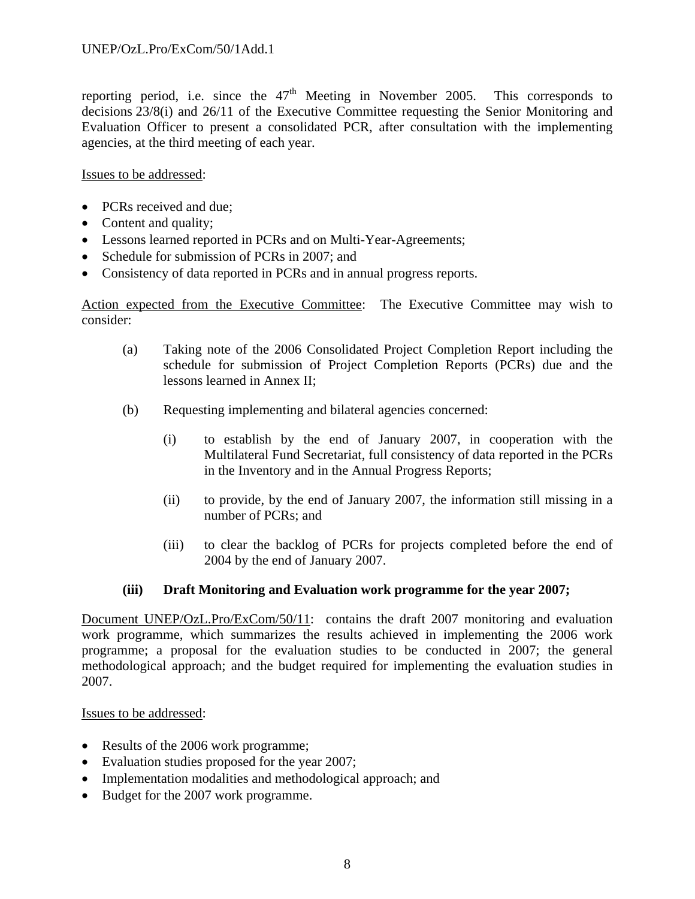reporting period, i.e. since the  $47<sup>th</sup>$  Meeting in November 2005. This corresponds to decisions 23/8(i) and 26/11 of the Executive Committee requesting the Senior Monitoring and Evaluation Officer to present a consolidated PCR, after consultation with the implementing agencies, at the third meeting of each year.

Issues to be addressed:

- PCRs received and due;
- Content and quality;
- Lessons learned reported in PCRs and on Multi-Year-Agreements;
- Schedule for submission of PCRs in 2007; and
- Consistency of data reported in PCRs and in annual progress reports.

Action expected from the Executive Committee: The Executive Committee may wish to consider:

- (a) Taking note of the 2006 Consolidated Project Completion Report including the schedule for submission of Project Completion Reports (PCRs) due and the lessons learned in Annex II;
- (b) Requesting implementing and bilateral agencies concerned:
	- (i) to establish by the end of January 2007, in cooperation with the Multilateral Fund Secretariat, full consistency of data reported in the PCRs in the Inventory and in the Annual Progress Reports;
	- (ii) to provide, by the end of January 2007, the information still missing in a number of PCRs; and
	- (iii) to clear the backlog of PCRs for projects completed before the end of 2004 by the end of January 2007.

# **(iii) Draft Monitoring and Evaluation work programme for the year 2007;**

Document UNEP/OzL.Pro/ExCom/50/11: contains the draft 2007 monitoring and evaluation work programme, which summarizes the results achieved in implementing the 2006 work programme; a proposal for the evaluation studies to be conducted in 2007; the general methodological approach; and the budget required for implementing the evaluation studies in 2007.

### Issues to be addressed:

- Results of the 2006 work programme;
- Evaluation studies proposed for the year 2007;
- Implementation modalities and methodological approach; and
- Budget for the 2007 work programme.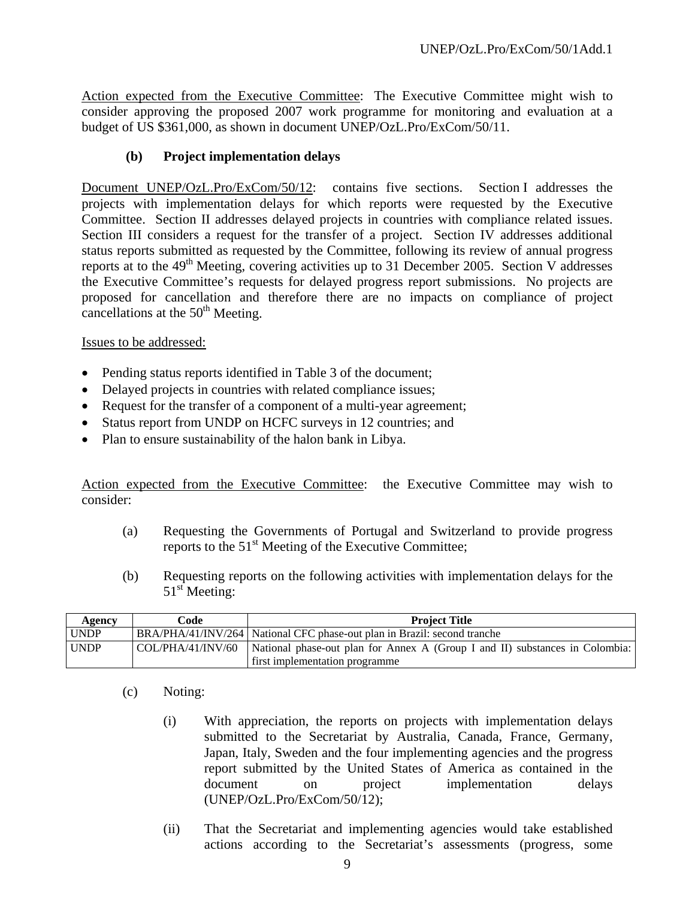Action expected from the Executive Committee: The Executive Committee might wish to consider approving the proposed 2007 work programme for monitoring and evaluation at a budget of US \$361,000, as shown in document UNEP/OzL.Pro/ExCom/50/11.

### **(b) Project implementation delays**

Document UNEP/OzL.Pro/ExCom/50/12: contains five sections. Section I addresses the projects with implementation delays for which reports were requested by the Executive Committee. Section II addresses delayed projects in countries with compliance related issues. Section III considers a request for the transfer of a project. Section IV addresses additional status reports submitted as requested by the Committee, following its review of annual progress reports at to the  $49<sup>th</sup>$  Meeting, covering activities up to 31 December 2005. Section V addresses the Executive Committee's requests for delayed progress report submissions. No projects are proposed for cancellation and therefore there are no impacts on compliance of project cancellations at the  $50<sup>th</sup>$  Meeting.

Issues to be addressed:

- Pending status reports identified in Table 3 of the document;
- Delayed projects in countries with related compliance issues;
- Request for the transfer of a component of a multi-year agreement;
- Status report from UNDP on HCFC surveys in 12 countries; and
- Plan to ensure sustainability of the halon bank in Libya.

Action expected from the Executive Committee: the Executive Committee may wish to consider:

- (a) Requesting the Governments of Portugal and Switzerland to provide progress reports to the  $51<sup>st</sup>$  Meeting of the Executive Committee;
- (b) Requesting reports on the following activities with implementation delays for the  $51<sup>st</sup>$  Meeting:

| Agency      | Code | <b>Project Title</b>                                                                                           |
|-------------|------|----------------------------------------------------------------------------------------------------------------|
| <b>UNDP</b> |      | BRA/PHA/41/INV/264 National CFC phase-out plan in Brazil: second tranche                                       |
| <b>UNDP</b> |      | $\vert$ COL/PHA/41/INV/60 $\vert$ National phase-out plan for Annex A (Group I and II) substances in Colombia: |
|             |      | first implementation programme                                                                                 |

- (c) Noting:
	- (i) With appreciation, the reports on projects with implementation delays submitted to the Secretariat by Australia, Canada, France, Germany, Japan, Italy, Sweden and the four implementing agencies and the progress report submitted by the United States of America as contained in the document on project implementation delays (UNEP/OzL.Pro/ExCom/50/12);
	- (ii) That the Secretariat and implementing agencies would take established actions according to the Secretariat's assessments (progress, some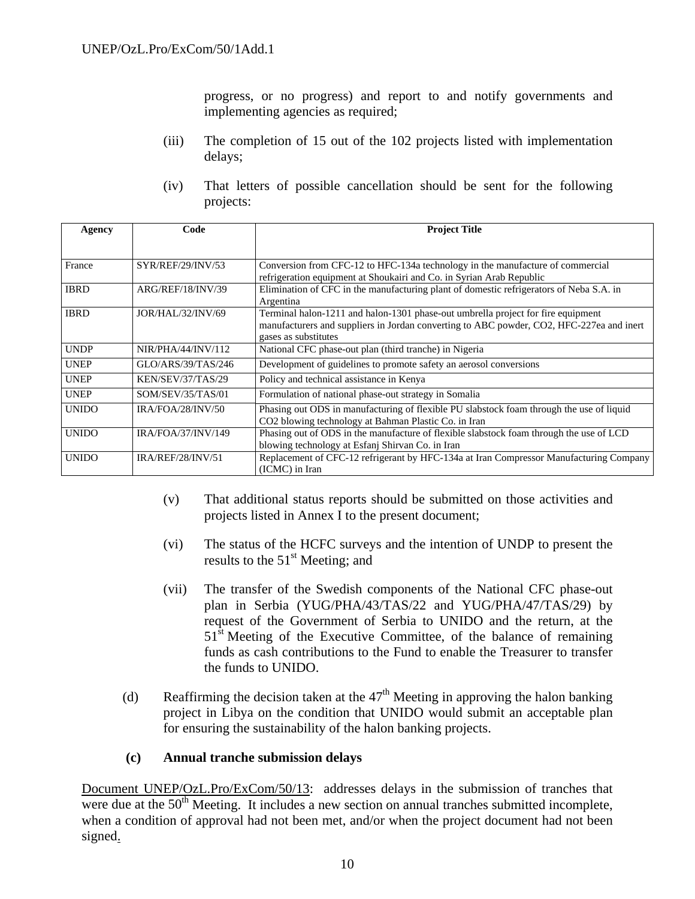progress, or no progress) and report to and notify governments and implementing agencies as required;

- (iii) The completion of 15 out of the 102 projects listed with implementation delays;
- (iv) That letters of possible cancellation should be sent for the following projects:

| Agency       | Code               | <b>Project Title</b>                                                                                                                                                                                 |
|--------------|--------------------|------------------------------------------------------------------------------------------------------------------------------------------------------------------------------------------------------|
|              |                    |                                                                                                                                                                                                      |
| France       | SYR/REF/29/INV/53  | Conversion from CFC-12 to HFC-134a technology in the manufacture of commercial<br>refrigeration equipment at Shoukairi and Co. in Syrian Arab Republic                                               |
| <b>IBRD</b>  | ARG/REF/18/INV/39  | Elimination of CFC in the manufacturing plant of domestic refrigerators of Neba S.A. in<br>Argentina                                                                                                 |
| <b>IBRD</b>  | JOR/HAL/32/INV/69  | Terminal halon-1211 and halon-1301 phase-out umbrella project for fire equipment<br>manufacturers and suppliers in Jordan converting to ABC powder, CO2, HFC-227ea and inert<br>gases as substitutes |
| <b>UNDP</b>  | NIR/PHA/44/INV/112 | National CFC phase-out plan (third tranche) in Nigeria                                                                                                                                               |
| <b>UNEP</b>  | GLO/ARS/39/TAS/246 | Development of guidelines to promote safety an aerosol conversions                                                                                                                                   |
| <b>UNEP</b>  | KEN/SEV/37/TAS/29  | Policy and technical assistance in Kenya                                                                                                                                                             |
| <b>UNEP</b>  | SOM/SEV/35/TAS/01  | Formulation of national phase-out strategy in Somalia                                                                                                                                                |
| <b>UNIDO</b> | IRA/FOA/28/INV/50  | Phasing out ODS in manufacturing of flexible PU slabstock foam through the use of liquid<br>CO2 blowing technology at Bahman Plastic Co. in Iran                                                     |
| <b>UNIDO</b> | IRA/FOA/37/INV/149 | Phasing out of ODS in the manufacture of flexible slabstock foam through the use of LCD<br>blowing technology at Esfanj Shirvan Co. in Iran                                                          |
| <b>UNIDO</b> | IRA/REF/28/INV/51  | Replacement of CFC-12 refrigerant by HFC-134a at Iran Compressor Manufacturing Company<br>(ICMC) in Iran                                                                                             |

- (v) That additional status reports should be submitted on those activities and projects listed in Annex I to the present document;
- (vi) The status of the HCFC surveys and the intention of UNDP to present the results to the  $51<sup>st</sup>$  Meeting; and
- (vii) The transfer of the Swedish components of the National CFC phase-out plan in Serbia (YUG/PHA/43/TAS/22 and YUG/PHA/47/TAS/29) by request of the Government of Serbia to UNIDO and the return, at the  $51<sup>st</sup>$  Meeting of the Executive Committee, of the balance of remaining funds as cash contributions to the Fund to enable the Treasurer to transfer the funds to UNIDO.
- (d) Reaffirming the decision taken at the  $47<sup>th</sup>$  Meeting in approving the halon banking project in Libya on the condition that UNIDO would submit an acceptable plan for ensuring the sustainability of the halon banking projects.

### **(c) Annual tranche submission delays**

Document UNEP/OzL.Pro/ExCom/50/13: addresses delays in the submission of tranches that were due at the  $50<sup>th</sup>$  Meeting. It includes a new section on annual tranches submitted incomplete, when a condition of approval had not been met, and/or when the project document had not been signed.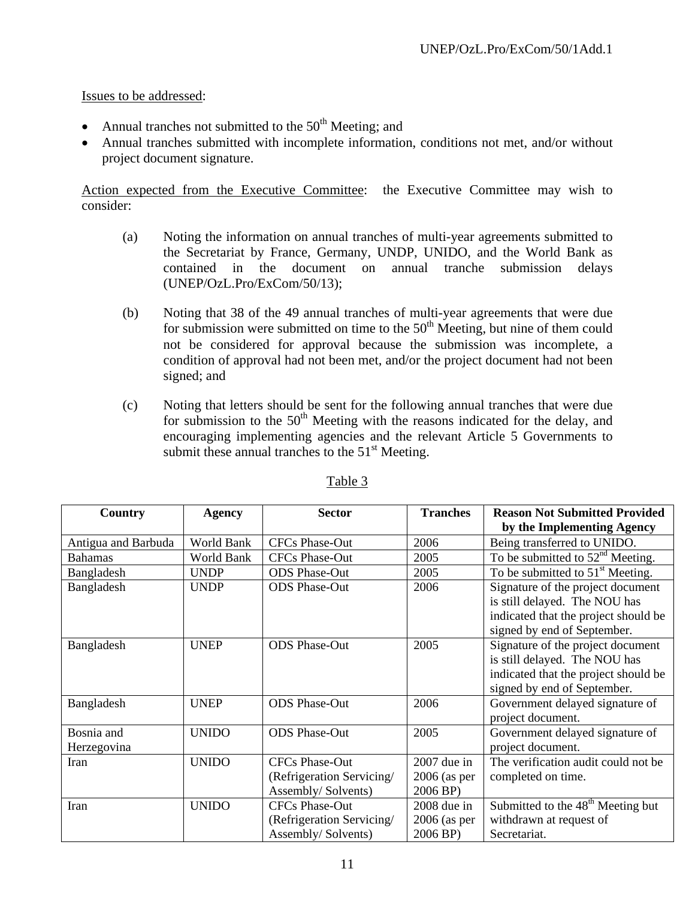- Annual tranches not submitted to the  $50<sup>th</sup>$  Meeting; and
- Annual tranches submitted with incomplete information, conditions not met, and/or without project document signature.

Action expected from the Executive Committee: the Executive Committee may wish to consider:

- (a) Noting the information on annual tranches of multi-year agreements submitted to the Secretariat by France, Germany, UNDP, UNIDO, and the World Bank as contained in the document on annual tranche submission delays (UNEP/OzL.Pro/ExCom/50/13);
- (b) Noting that 38 of the 49 annual tranches of multi-year agreements that were due for submission were submitted on time to the  $50<sup>th</sup>$  Meeting, but nine of them could not be considered for approval because the submission was incomplete, a condition of approval had not been met, and/or the project document had not been signed; and
- (c) Noting that letters should be sent for the following annual tranches that were due for submission to the  $50<sup>th</sup>$  Meeting with the reasons indicated for the delay, and encouraging implementing agencies and the relevant Article 5 Governments to submit these annual tranches to the  $51<sup>st</sup>$  Meeting.

| Country                   | <b>Agency</b> | <b>Sector</b>                                                            | <b>Tranches</b>                             | <b>Reason Not Submitted Provided</b>                                                                                                      |  |
|---------------------------|---------------|--------------------------------------------------------------------------|---------------------------------------------|-------------------------------------------------------------------------------------------------------------------------------------------|--|
|                           |               |                                                                          |                                             | by the Implementing Agency                                                                                                                |  |
| Antigua and Barbuda       | World Bank    | <b>CFCs Phase-Out</b>                                                    | 2006                                        | Being transferred to UNIDO.                                                                                                               |  |
| <b>Bahamas</b>            | World Bank    | <b>CFCs Phase-Out</b>                                                    | 2005                                        | To be submitted to $52nd$ Meeting.                                                                                                        |  |
| Bangladesh                | <b>UNDP</b>   | <b>ODS</b> Phase-Out                                                     | 2005                                        | To be submitted to $51st$ Meeting.                                                                                                        |  |
| Bangladesh                | <b>UNDP</b>   | <b>ODS</b> Phase-Out                                                     | 2006                                        | Signature of the project document<br>is still delayed. The NOU has<br>indicated that the project should be<br>signed by end of September. |  |
| Bangladesh                | <b>UNEP</b>   | <b>ODS</b> Phase-Out                                                     | 2005                                        | Signature of the project document<br>is still delayed. The NOU has<br>indicated that the project should be<br>signed by end of September. |  |
| Bangladesh                | <b>UNEP</b>   | <b>ODS</b> Phase-Out                                                     | 2006                                        | Government delayed signature of<br>project document.                                                                                      |  |
| Bosnia and<br>Herzegovina | <b>UNIDO</b>  | <b>ODS</b> Phase-Out                                                     | 2005                                        | Government delayed signature of<br>project document.                                                                                      |  |
| Iran                      | <b>UNIDO</b>  | <b>CFCs Phase-Out</b><br>(Refrigeration Servicing/<br>Assembly/Solvents) | $2007$ due in<br>$2006$ (as per<br>2006 BP) | The verification audit could not be<br>completed on time.                                                                                 |  |
| Iran                      | <b>UNIDO</b>  | <b>CFCs Phase-Out</b><br>(Refrigeration Servicing/<br>Assembly/Solvents) | 2008 due in<br>$2006$ (as per<br>2006 BP)   | Submitted to the 48 <sup>th</sup> Meeting but<br>withdrawn at request of<br>Secretariat.                                                  |  |

### Table 3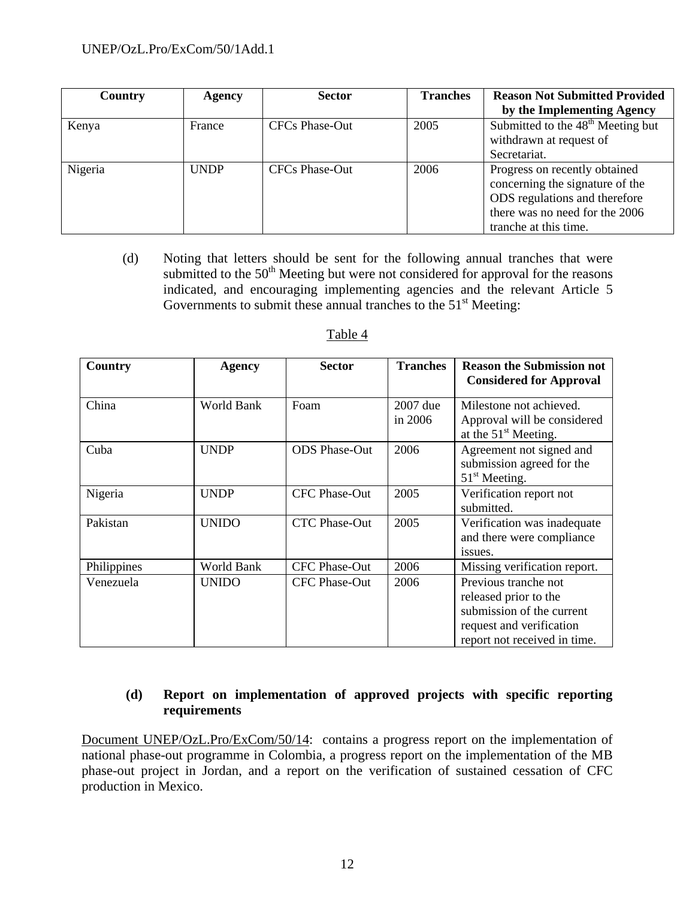| Country | Agency      | <b>Sector</b>         | <b>Tranches</b> | <b>Reason Not Submitted Provided</b>          |
|---------|-------------|-----------------------|-----------------|-----------------------------------------------|
|         |             |                       |                 | by the Implementing Agency                    |
| Kenya   | France      | CFCs Phase-Out        | 2005            | Submitted to the 48 <sup>th</sup> Meeting but |
|         |             |                       |                 | withdrawn at request of                       |
|         |             |                       |                 | Secretariat.                                  |
| Nigeria | <b>UNDP</b> | <b>CFCs Phase-Out</b> | 2006            | Progress on recently obtained                 |
|         |             |                       |                 | concerning the signature of the               |
|         |             |                       |                 | ODS regulations and therefore                 |
|         |             |                       |                 | there was no need for the 2006                |
|         |             |                       |                 | tranche at this time.                         |

(d) Noting that letters should be sent for the following annual tranches that were submitted to the  $50<sup>th</sup>$  Meeting but were not considered for approval for the reasons indicated, and encouraging implementing agencies and the relevant Article 5 Governments to submit these annual tranches to the  $51<sup>st</sup>$  Meeting:

| Country     | Agency       | <b>Sector</b>        | <b>Tranches</b>       | <b>Reason the Submission not</b><br><b>Considered for Approval</b>                                                                     |
|-------------|--------------|----------------------|-----------------------|----------------------------------------------------------------------------------------------------------------------------------------|
| China       | World Bank   | Foam                 | 2007 due<br>in $2006$ | Milestone not achieved.<br>Approval will be considered<br>at the 51 <sup>st</sup> Meeting.                                             |
| Cuba        | <b>UNDP</b>  | <b>ODS</b> Phase-Out | 2006                  | Agreement not signed and<br>submission agreed for the<br>$51st$ Meeting.                                                               |
| Nigeria     | <b>UNDP</b>  | <b>CFC Phase-Out</b> | 2005                  | Verification report not<br>submitted.                                                                                                  |
| Pakistan    | <b>UNIDO</b> | CTC Phase-Out        | 2005                  | Verification was inadequate<br>and there were compliance<br>issues.                                                                    |
| Philippines | World Bank   | <b>CFC Phase-Out</b> | 2006                  | Missing verification report.                                                                                                           |
| Venezuela   | <b>UNIDO</b> | <b>CFC Phase-Out</b> | 2006                  | Previous tranche not<br>released prior to the<br>submission of the current<br>request and verification<br>report not received in time. |

# Table 4

# **(d) Report on implementation of approved projects with specific reporting requirements**

Document UNEP/OzL.Pro/ExCom/50/14: contains a progress report on the implementation of national phase-out programme in Colombia, a progress report on the implementation of the MB phase-out project in Jordan, and a report on the verification of sustained cessation of CFC production in Mexico.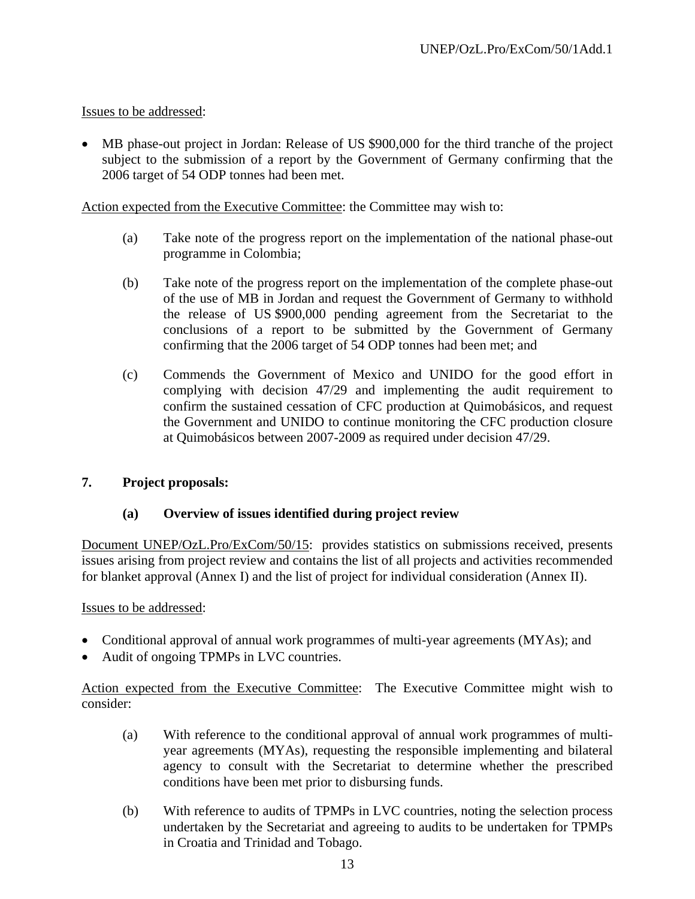• MB phase-out project in Jordan: Release of US \$900,000 for the third tranche of the project subject to the submission of a report by the Government of Germany confirming that the 2006 target of 54 ODP tonnes had been met.

Action expected from the Executive Committee: the Committee may wish to:

- (a) Take note of the progress report on the implementation of the national phase-out programme in Colombia;
- (b) Take note of the progress report on the implementation of the complete phase-out of the use of MB in Jordan and request the Government of Germany to withhold the release of US \$900,000 pending agreement from the Secretariat to the conclusions of a report to be submitted by the Government of Germany confirming that the 2006 target of 54 ODP tonnes had been met; and
- (c) Commends the Government of Mexico and UNIDO for the good effort in complying with decision 47/29 and implementing the audit requirement to confirm the sustained cessation of CFC production at Quimobásicos, and request the Government and UNIDO to continue monitoring the CFC production closure at Quimobásicos between 2007-2009 as required under decision 47/29.

### **7. Project proposals:**

### **(a) Overview of issues identified during project review**

Document UNEP/OzL.Pro/ExCom/50/15: provides statistics on submissions received, presents issues arising from project review and contains the list of all projects and activities recommended for blanket approval (Annex I) and the list of project for individual consideration (Annex II).

### Issues to be addressed:

- Conditional approval of annual work programmes of multi-year agreements (MYAs); and
- Audit of ongoing TPMPs in LVC countries.

Action expected from the Executive Committee: The Executive Committee might wish to consider:

- (a) With reference to the conditional approval of annual work programmes of multiyear agreements (MYAs), requesting the responsible implementing and bilateral agency to consult with the Secretariat to determine whether the prescribed conditions have been met prior to disbursing funds.
- (b) With reference to audits of TPMPs in LVC countries, noting the selection process undertaken by the Secretariat and agreeing to audits to be undertaken for TPMPs in Croatia and Trinidad and Tobago.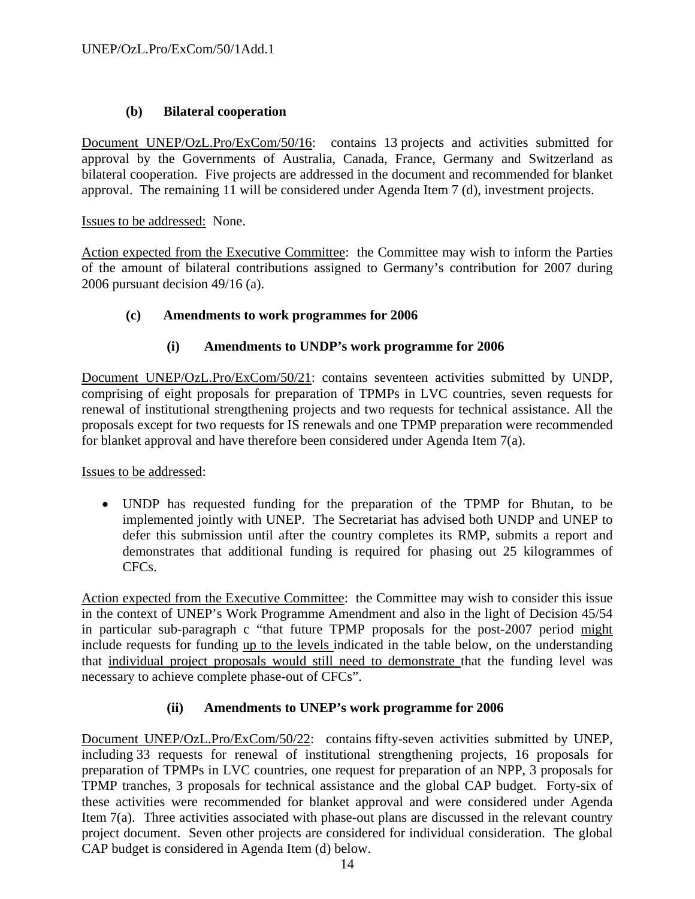# **(b) Bilateral cooperation**

Document UNEP/OzL.Pro/ExCom/50/16: contains 13 projects and activities submitted for approval by the Governments of Australia, Canada, France, Germany and Switzerland as bilateral cooperation. Five projects are addressed in the document and recommended for blanket approval. The remaining 11 will be considered under Agenda Item 7 (d), investment projects.

Issues to be addressed: None.

Action expected from the Executive Committee: the Committee may wish to inform the Parties of the amount of bilateral contributions assigned to Germany's contribution for 2007 during 2006 pursuant decision 49/16 (a).

# **(c) Amendments to work programmes for 2006**

# **(i) Amendments to UNDP's work programme for 2006**

Document UNEP/OzL.Pro/ExCom/50/21: contains seventeen activities submitted by UNDP, comprising of eight proposals for preparation of TPMPs in LVC countries, seven requests for renewal of institutional strengthening projects and two requests for technical assistance. All the proposals except for two requests for IS renewals and one TPMP preparation were recommended for blanket approval and have therefore been considered under Agenda Item 7(a).

Issues to be addressed:

• UNDP has requested funding for the preparation of the TPMP for Bhutan, to be implemented jointly with UNEP. The Secretariat has advised both UNDP and UNEP to defer this submission until after the country completes its RMP, submits a report and demonstrates that additional funding is required for phasing out 25 kilogrammes of CFCs.

Action expected from the Executive Committee: the Committee may wish to consider this issue in the context of UNEP's Work Programme Amendment and also in the light of Decision 45/54 in particular sub-paragraph c "that future TPMP proposals for the post-2007 period might include requests for funding up to the levels indicated in the table below, on the understanding that individual project proposals would still need to demonstrate that the funding level was necessary to achieve complete phase-out of CFCs".

# **(ii) Amendments to UNEP's work programme for 2006**

Document UNEP/OzL.Pro/ExCom/50/22: contains fifty-seven activities submitted by UNEP, including 33 requests for renewal of institutional strengthening projects, 16 proposals for preparation of TPMPs in LVC countries, one request for preparation of an NPP, 3 proposals for TPMP tranches, 3 proposals for technical assistance and the global CAP budget. Forty-six of these activities were recommended for blanket approval and were considered under Agenda Item 7(a). Three activities associated with phase-out plans are discussed in the relevant country project document. Seven other projects are considered for individual consideration. The global CAP budget is considered in Agenda Item (d) below.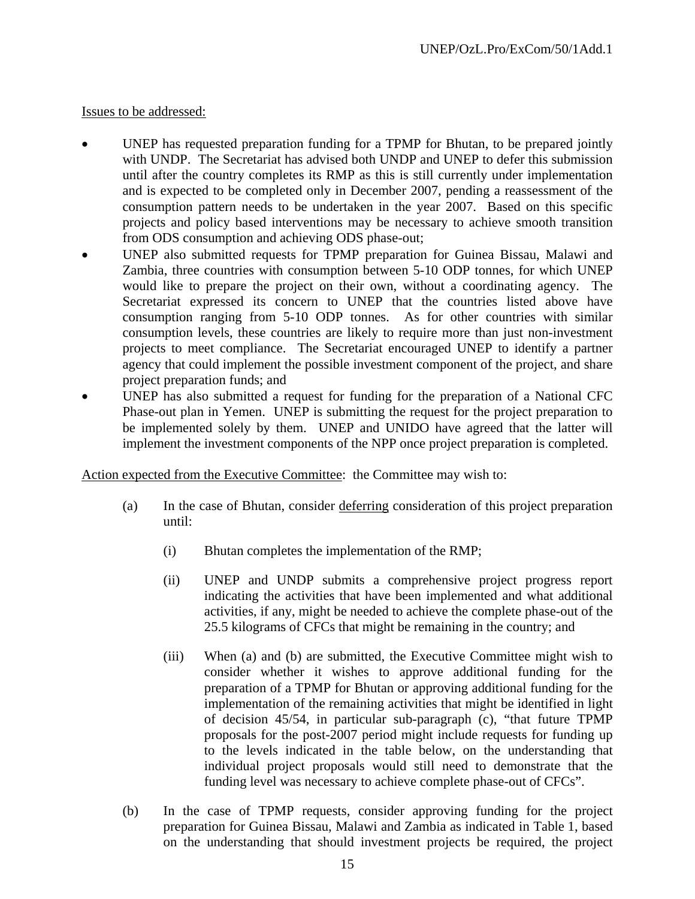- UNEP has requested preparation funding for a TPMP for Bhutan, to be prepared jointly with UNDP. The Secretariat has advised both UNDP and UNEP to defer this submission until after the country completes its RMP as this is still currently under implementation and is expected to be completed only in December 2007, pending a reassessment of the consumption pattern needs to be undertaken in the year 2007. Based on this specific projects and policy based interventions may be necessary to achieve smooth transition from ODS consumption and achieving ODS phase-out;
- UNEP also submitted requests for TPMP preparation for Guinea Bissau, Malawi and Zambia, three countries with consumption between 5-10 ODP tonnes, for which UNEP would like to prepare the project on their own, without a coordinating agency. The Secretariat expressed its concern to UNEP that the countries listed above have consumption ranging from 5-10 ODP tonnes. As for other countries with similar consumption levels, these countries are likely to require more than just non-investment projects to meet compliance. The Secretariat encouraged UNEP to identify a partner agency that could implement the possible investment component of the project, and share project preparation funds; and
- UNEP has also submitted a request for funding for the preparation of a National CFC Phase-out plan in Yemen. UNEP is submitting the request for the project preparation to be implemented solely by them. UNEP and UNIDO have agreed that the latter will implement the investment components of the NPP once project preparation is completed.

Action expected from the Executive Committee: the Committee may wish to:

- (a) In the case of Bhutan, consider deferring consideration of this project preparation until:
	- (i) Bhutan completes the implementation of the RMP;
	- (ii) UNEP and UNDP submits a comprehensive project progress report indicating the activities that have been implemented and what additional activities, if any, might be needed to achieve the complete phase-out of the 25.5 kilograms of CFCs that might be remaining in the country; and
	- (iii) When (a) and (b) are submitted, the Executive Committee might wish to consider whether it wishes to approve additional funding for the preparation of a TPMP for Bhutan or approving additional funding for the implementation of the remaining activities that might be identified in light of decision 45/54, in particular sub-paragraph (c), "that future TPMP proposals for the post-2007 period might include requests for funding up to the levels indicated in the table below, on the understanding that individual project proposals would still need to demonstrate that the funding level was necessary to achieve complete phase-out of CFCs".
- (b) In the case of TPMP requests, consider approving funding for the project preparation for Guinea Bissau, Malawi and Zambia as indicated in Table 1, based on the understanding that should investment projects be required, the project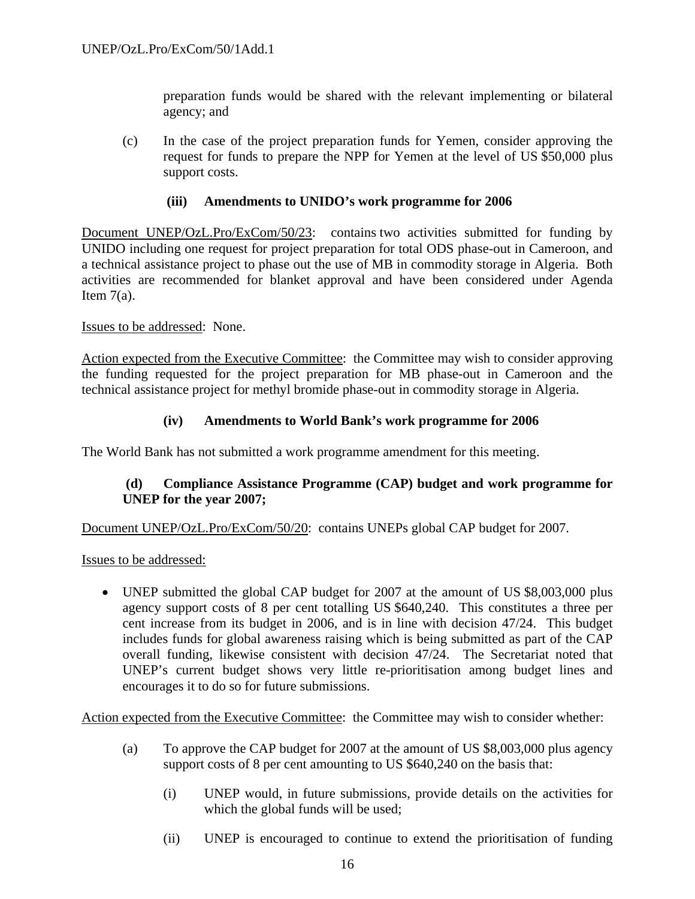preparation funds would be shared with the relevant implementing or bilateral agency; and

(c) In the case of the project preparation funds for Yemen, consider approving the request for funds to prepare the NPP for Yemen at the level of US \$50,000 plus support costs.

### **(iii) Amendments to UNIDO's work programme for 2006**

Document UNEP/OzL.Pro/ExCom/50/23: contains two activities submitted for funding by UNIDO including one request for project preparation for total ODS phase-out in Cameroon, and a technical assistance project to phase out the use of MB in commodity storage in Algeria. Both activities are recommended for blanket approval and have been considered under Agenda Item  $7(a)$ .

### Issues to be addressed: None.

Action expected from the Executive Committee: the Committee may wish to consider approving the funding requested for the project preparation for MB phase-out in Cameroon and the technical assistance project for methyl bromide phase-out in commodity storage in Algeria.

### **(iv) Amendments to World Bank's work programme for 2006**

The World Bank has not submitted a work programme amendment for this meeting.

# **(d) Compliance Assistance Programme (CAP) budget and work programme for UNEP for the year 2007;**

Document UNEP/OzL.Pro/ExCom/50/20: contains UNEPs global CAP budget for 2007.

Issues to be addressed:

• UNEP submitted the global CAP budget for 2007 at the amount of US \$8,003,000 plus agency support costs of 8 per cent totalling US \$640,240. This constitutes a three per cent increase from its budget in 2006, and is in line with decision 47/24. This budget includes funds for global awareness raising which is being submitted as part of the CAP overall funding, likewise consistent with decision 47/24. The Secretariat noted that UNEP's current budget shows very little re-prioritisation among budget lines and encourages it to do so for future submissions.

Action expected from the Executive Committee: the Committee may wish to consider whether:

- (a) To approve the CAP budget for 2007 at the amount of US \$8,003,000 plus agency support costs of 8 per cent amounting to US \$640,240 on the basis that:
	- (i) UNEP would, in future submissions, provide details on the activities for which the global funds will be used;
	- (ii) UNEP is encouraged to continue to extend the prioritisation of funding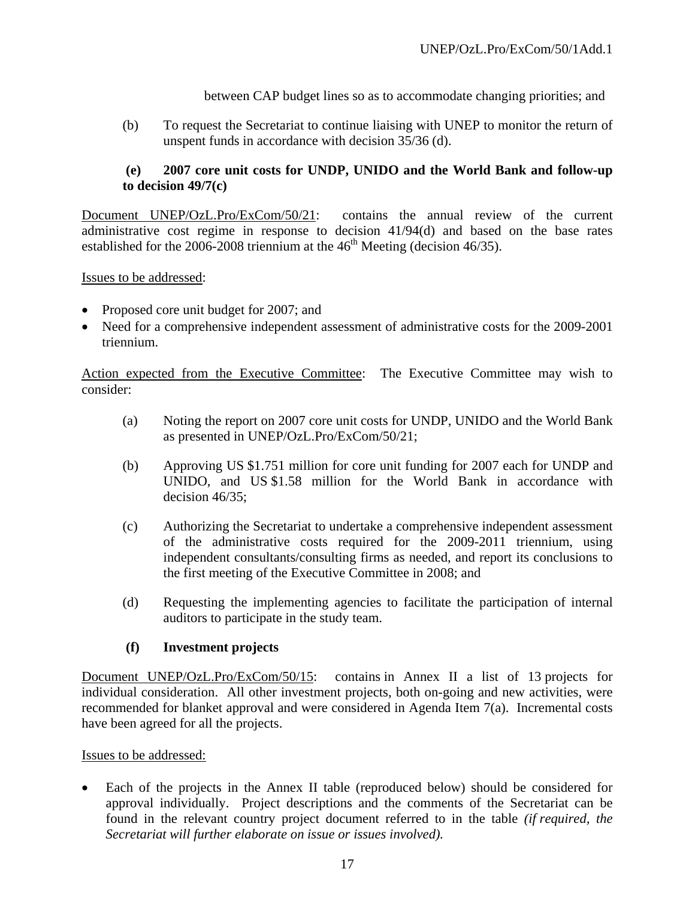between CAP budget lines so as to accommodate changing priorities; and

(b) To request the Secretariat to continue liaising with UNEP to monitor the return of unspent funds in accordance with decision 35/36 (d).

# **(e) 2007 core unit costs for UNDP, UNIDO and the World Bank and follow-up to decision 49/7(c)**

Document UNEP/OzL.Pro/ExCom/50/21: contains the annual review of the current administrative cost regime in response to decision 41/94(d) and based on the base rates established for the  $2006-2008$  triennium at the  $46<sup>th</sup>$  Meeting (decision 46/35).

Issues to be addressed:

- Proposed core unit budget for 2007; and
- Need for a comprehensive independent assessment of administrative costs for the 2009-2001 triennium.

Action expected from the Executive Committee: The Executive Committee may wish to consider:

- (a) Noting the report on 2007 core unit costs for UNDP, UNIDO and the World Bank as presented in UNEP/OzL.Pro/ExCom/50/21;
- (b) Approving US \$1.751 million for core unit funding for 2007 each for UNDP and UNIDO, and US \$1.58 million for the World Bank in accordance with decision 46/35;
- (c) Authorizing the Secretariat to undertake a comprehensive independent assessment of the administrative costs required for the 2009-2011 triennium, using independent consultants/consulting firms as needed, and report its conclusions to the first meeting of the Executive Committee in 2008; and
- (d) Requesting the implementing agencies to facilitate the participation of internal auditors to participate in the study team.

### **(f) Investment projects**

Document UNEP/OzL.Pro/ExCom/50/15: contains in Annex II a list of 13 projects for individual consideration. All other investment projects, both on-going and new activities, were recommended for blanket approval and were considered in Agenda Item 7(a). Incremental costs have been agreed for all the projects.

Issues to be addressed:

Each of the projects in the Annex II table (reproduced below) should be considered for approval individually. Project descriptions and the comments of the Secretariat can be found in the relevant country project document referred to in the table *(if required, the Secretariat will further elaborate on issue or issues involved).*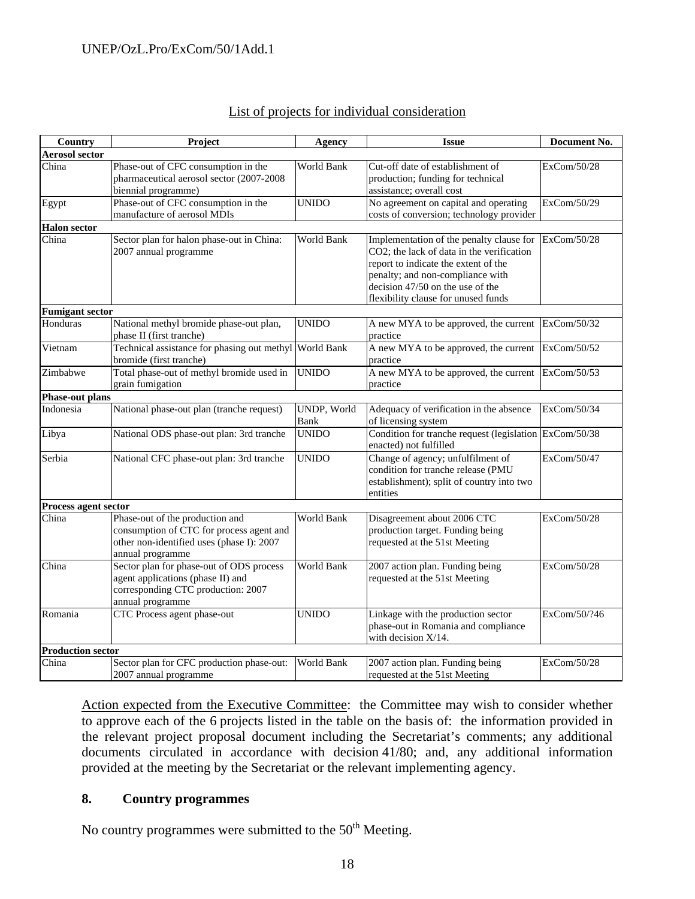### UNEP/OzL.Pro/ExCom/50/1Add.1

| List of projects for individual consideration |
|-----------------------------------------------|
|-----------------------------------------------|

| Country                      | Project                                                                                                                                      | <b>Agency</b>                     | <b>Issue</b>                                                                                                                                                                                                                                 | Document No. |
|------------------------------|----------------------------------------------------------------------------------------------------------------------------------------------|-----------------------------------|----------------------------------------------------------------------------------------------------------------------------------------------------------------------------------------------------------------------------------------------|--------------|
| <b>Aerosol sector</b>        |                                                                                                                                              |                                   |                                                                                                                                                                                                                                              |              |
| China                        | Phase-out of CFC consumption in the<br>pharmaceutical aerosol sector (2007-2008<br>biennial programme)                                       | World Bank                        | Cut-off date of establishment of<br>production; funding for technical<br>assistance; overall cost                                                                                                                                            | ExCom/50/28  |
| Egypt                        | Phase-out of CFC consumption in the<br>manufacture of aerosol MDIs                                                                           | <b>UNIDO</b>                      | No agreement on capital and operating<br>costs of conversion; technology provider                                                                                                                                                            | ExCom/50/29  |
| <b>Halon</b> sector<br>China | Sector plan for halon phase-out in China:<br>2007 annual programme                                                                           | <b>World Bank</b>                 | Implementation of the penalty clause for<br>CO2; the lack of data in the verification<br>report to indicate the extent of the<br>penalty; and non-compliance with<br>decision 47/50 on the use of the<br>flexibility clause for unused funds | ExCom/50/28  |
| <b>Fumigant sector</b>       |                                                                                                                                              |                                   |                                                                                                                                                                                                                                              |              |
| Honduras                     | National methyl bromide phase-out plan,<br>phase II (first tranche)                                                                          | <b>UNIDO</b>                      | A new MYA to be approved, the current<br>practice                                                                                                                                                                                            | ExCom/50/32  |
| Vietnam                      | Technical assistance for phasing out methyl<br>bromide (first tranche)                                                                       | World Bank                        | A new MYA to be approved, the current<br>practice                                                                                                                                                                                            | ExCom/50/52  |
| Zimbabwe                     | Total phase-out of methyl bromide used in<br>grain fumigation                                                                                | <b>UNIDO</b>                      | A new MYA to be approved, the current<br>practice                                                                                                                                                                                            | ExCom/50/53  |
| <b>Phase-out plans</b>       |                                                                                                                                              |                                   |                                                                                                                                                                                                                                              |              |
| Indonesia                    | National phase-out plan (tranche request)                                                                                                    | <b>UNDP, World</b><br><b>Bank</b> | Adequacy of verification in the absence<br>of licensing system                                                                                                                                                                               | ExCom/50/34  |
| Libya                        | National ODS phase-out plan: 3rd tranche                                                                                                     | <b>UNIDO</b>                      | Condition for tranche request (legislation ExCom/50/38<br>enacted) not fulfilled                                                                                                                                                             |              |
| Serbia                       | National CFC phase-out plan: 3rd tranche                                                                                                     | <b>UNIDO</b>                      | Change of agency; unfulfilment of<br>condition for tranche release (PMU<br>establishment); split of country into two<br>entities                                                                                                             | ExCom/50/47  |
| Process agent sector         |                                                                                                                                              |                                   |                                                                                                                                                                                                                                              |              |
| China                        | Phase-out of the production and<br>consumption of CTC for process agent and<br>other non-identified uses (phase I): 2007<br>annual programme | World Bank                        | Disagreement about 2006 CTC<br>production target. Funding being<br>requested at the 51st Meeting                                                                                                                                             | ExCom/50/28  |
| China                        | Sector plan for phase-out of ODS process<br>agent applications (phase II) and<br>corresponding CTC production: 2007<br>annual programme      | <b>World Bank</b>                 | 2007 action plan. Funding being<br>requested at the 51st Meeting                                                                                                                                                                             | ExCom/50/28  |
| Romania                      | CTC Process agent phase-out                                                                                                                  | <b>UNIDO</b>                      | Linkage with the production sector<br>phase-out in Romania and compliance<br>with decision $X/14$ .                                                                                                                                          | ExCom/50/?46 |
| <b>Production sector</b>     |                                                                                                                                              |                                   |                                                                                                                                                                                                                                              |              |
| China                        | Sector plan for CFC production phase-out:<br>2007 annual programme                                                                           | World Bank                        | 2007 action plan. Funding being<br>requested at the 51st Meeting                                                                                                                                                                             | ExCom/50/28  |

Action expected from the Executive Committee: the Committee may wish to consider whether to approve each of the 6 projects listed in the table on the basis of: the information provided in the relevant project proposal document including the Secretariat's comments; any additional documents circulated in accordance with decision 41/80; and, any additional information provided at the meeting by the Secretariat or the relevant implementing agency.

#### **8. Country programmes**

No country programmes were submitted to the  $50<sup>th</sup>$  Meeting.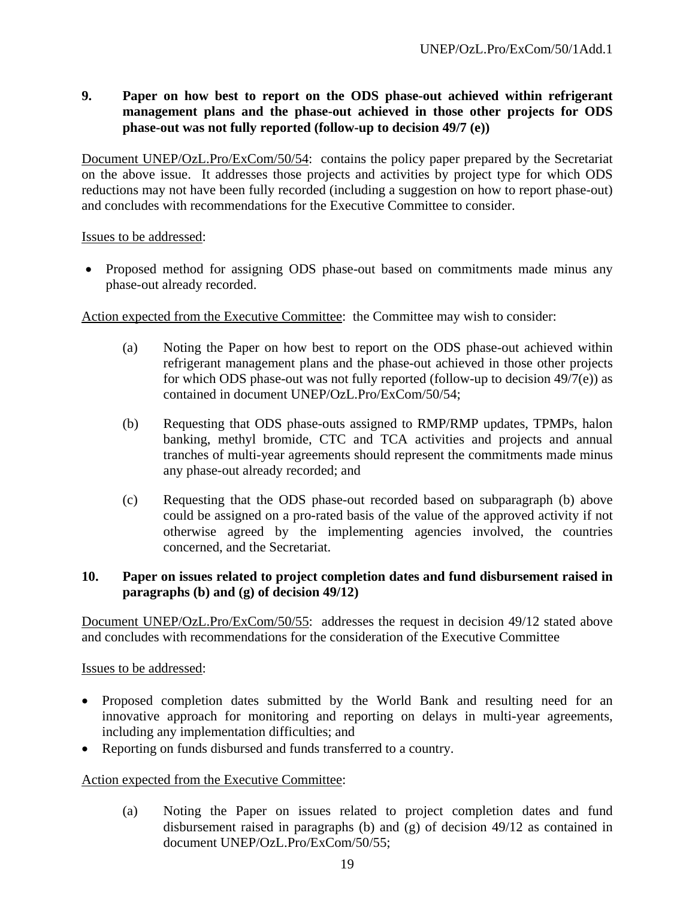**9. Paper on how best to report on the ODS phase-out achieved within refrigerant management plans and the phase-out achieved in those other projects for ODS phase-out was not fully reported (follow-up to decision 49/7 (e))** 

Document UNEP/OzL.Pro/ExCom/50/54: contains the policy paper prepared by the Secretariat on the above issue. It addresses those projects and activities by project type for which ODS reductions may not have been fully recorded (including a suggestion on how to report phase-out) and concludes with recommendations for the Executive Committee to consider.

Issues to be addressed:

• Proposed method for assigning ODS phase-out based on commitments made minus any phase-out already recorded.

Action expected from the Executive Committee: the Committee may wish to consider:

- (a) Noting the Paper on how best to report on the ODS phase-out achieved within refrigerant management plans and the phase-out achieved in those other projects for which ODS phase-out was not fully reported (follow-up to decision  $49/7(e)$ ) as contained in document UNEP/OzL.Pro/ExCom/50/54;
- (b) Requesting that ODS phase-outs assigned to RMP/RMP updates, TPMPs, halon banking, methyl bromide, CTC and TCA activities and projects and annual tranches of multi-year agreements should represent the commitments made minus any phase-out already recorded; and
- (c) Requesting that the ODS phase-out recorded based on subparagraph (b) above could be assigned on a pro-rated basis of the value of the approved activity if not otherwise agreed by the implementing agencies involved, the countries concerned, and the Secretariat.

### **10. Paper on issues related to project completion dates and fund disbursement raised in paragraphs (b) and (g) of decision 49/12)**

Document UNEP/OzL.Pro/ExCom/50/55: addresses the request in decision 49/12 stated above and concludes with recommendations for the consideration of the Executive Committee

Issues to be addressed:

- Proposed completion dates submitted by the World Bank and resulting need for an innovative approach for monitoring and reporting on delays in multi-year agreements, including any implementation difficulties; and
- Reporting on funds disbursed and funds transferred to a country.

### Action expected from the Executive Committee:

(a) Noting the Paper on issues related to project completion dates and fund disbursement raised in paragraphs (b) and (g) of decision 49/12 as contained in document UNEP/OzL.Pro/ExCom/50/55;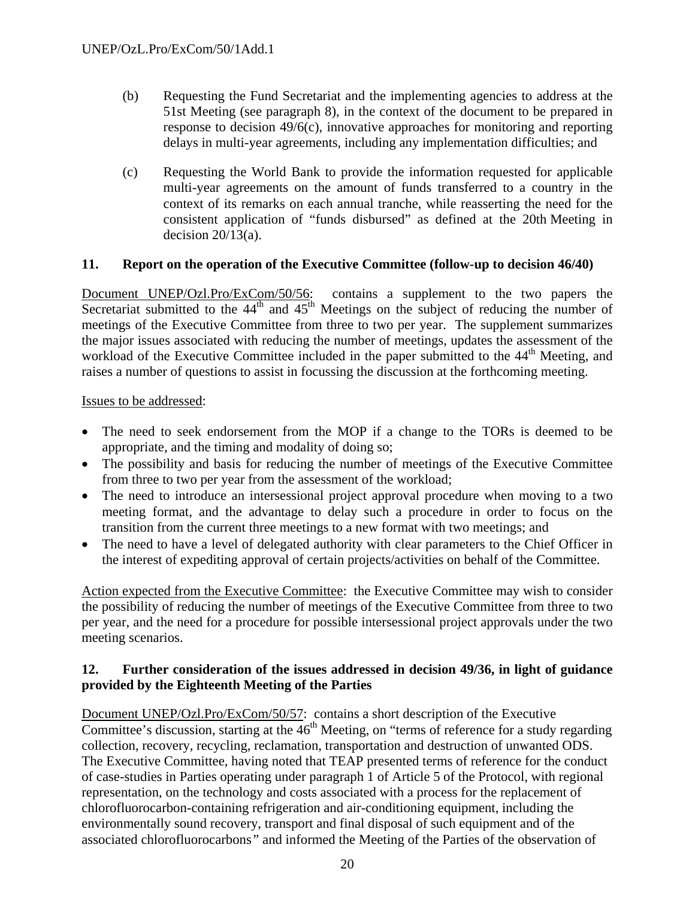- (b) Requesting the Fund Secretariat and the implementing agencies to address at the 51st Meeting (see paragraph 8), in the context of the document to be prepared in response to decision 49/6(c), innovative approaches for monitoring and reporting delays in multi-year agreements, including any implementation difficulties; and
- (c) Requesting the World Bank to provide the information requested for applicable multi-year agreements on the amount of funds transferred to a country in the context of its remarks on each annual tranche, while reasserting the need for the consistent application of "funds disbursed" as defined at the 20th Meeting in decision  $20/13(a)$ .

### **11. Report on the operation of the Executive Committee (follow-up to decision 46/40)**

Document UNEP/Ozl.Pro/ExCom/50/56: contains a supplement to the two papers the Secretariat submitted to the  $44<sup>th</sup>$  and  $45<sup>th</sup>$  Meetings on the subject of reducing the number of meetings of the Executive Committee from three to two per year. The supplement summarizes the major issues associated with reducing the number of meetings, updates the assessment of the workload of the Executive Committee included in the paper submitted to the 44<sup>th</sup> Meeting, and raises a number of questions to assist in focussing the discussion at the forthcoming meeting.

### Issues to be addressed:

- The need to seek endorsement from the MOP if a change to the TORs is deemed to be appropriate, and the timing and modality of doing so;
- The possibility and basis for reducing the number of meetings of the Executive Committee from three to two per year from the assessment of the workload;
- The need to introduce an intersessional project approval procedure when moving to a two meeting format, and the advantage to delay such a procedure in order to focus on the transition from the current three meetings to a new format with two meetings; and
- The need to have a level of delegated authority with clear parameters to the Chief Officer in the interest of expediting approval of certain projects/activities on behalf of the Committee.

Action expected from the Executive Committee: the Executive Committee may wish to consider the possibility of reducing the number of meetings of the Executive Committee from three to two per year, and the need for a procedure for possible intersessional project approvals under the two meeting scenarios.

### **12. Further consideration of the issues addressed in decision 49/36, in light of guidance provided by the Eighteenth Meeting of the Parties**

Document UNEP/Ozl.Pro/ExCom/50/57: contains a short description of the Executive Committee's discussion, starting at the  $46<sup>th</sup>$  Meeting, on "terms of reference for a study regarding collection, recovery, recycling, reclamation, transportation and destruction of unwanted ODS. The Executive Committee, having noted that TEAP presented terms of reference for the conduct of case-studies in Parties operating under paragraph 1 of Article 5 of the Protocol, with regional representation, on the technology and costs associated with a process for the replacement of chlorofluorocarbon-containing refrigeration and air-conditioning equipment, including the environmentally sound recovery, transport and final disposal of such equipment and of the associated chlorofluorocarbons*"* and informed the Meeting of the Parties of the observation of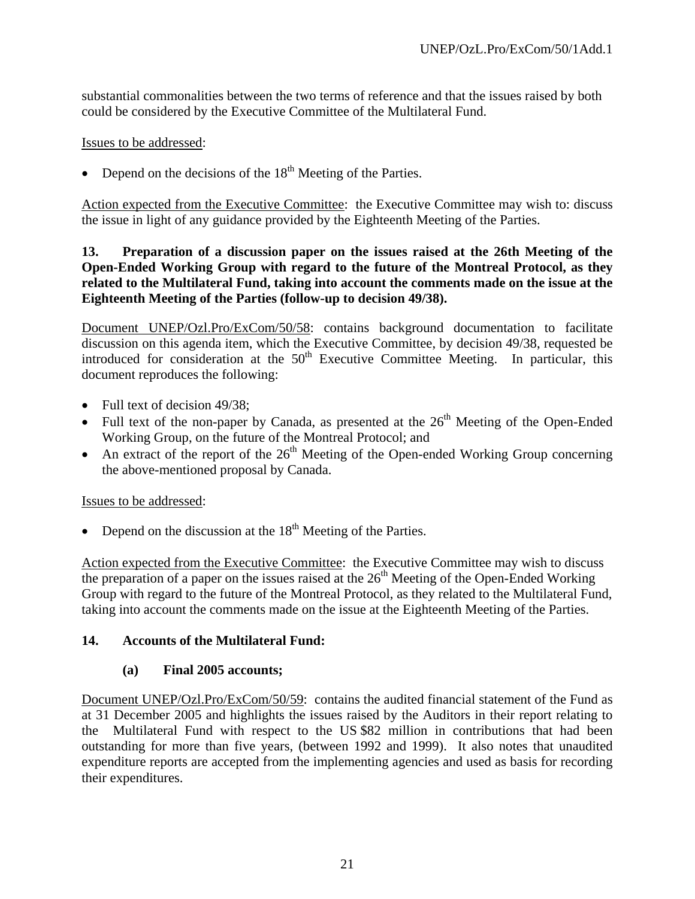substantial commonalities between the two terms of reference and that the issues raised by both could be considered by the Executive Committee of the Multilateral Fund.

Issues to be addressed:

• Depend on the decisions of the  $18<sup>th</sup>$  Meeting of the Parties.

Action expected from the Executive Committee: the Executive Committee may wish to: discuss the issue in light of any guidance provided by the Eighteenth Meeting of the Parties.

### **13. Preparation of a discussion paper on the issues raised at the 26th Meeting of the Open-Ended Working Group with regard to the future of the Montreal Protocol, as they related to the Multilateral Fund, taking into account the comments made on the issue at the Eighteenth Meeting of the Parties (follow-up to decision 49/38).**

Document UNEP/Ozl.Pro/ExCom/50/58: contains background documentation to facilitate discussion on this agenda item, which the Executive Committee, by decision 49/38, requested be introduced for consideration at the  $50<sup>th</sup>$  Executive Committee Meeting. In particular, this document reproduces the following:

- Full text of decision 49/38;
- Full text of the non-paper by Canada, as presented at the  $26<sup>th</sup>$  Meeting of the Open-Ended Working Group, on the future of the Montreal Protocol; and
- An extract of the report of the  $26<sup>th</sup>$  Meeting of the Open-ended Working Group concerning the above-mentioned proposal by Canada.

# Issues to be addressed:

Depend on the discussion at the  $18<sup>th</sup>$  Meeting of the Parties.

Action expected from the Executive Committee: the Executive Committee may wish to discuss the preparation of a paper on the issues raised at the  $26<sup>th</sup>$  Meeting of the Open-Ended Working Group with regard to the future of the Montreal Protocol, as they related to the Multilateral Fund, taking into account the comments made on the issue at the Eighteenth Meeting of the Parties.

# **14. Accounts of the Multilateral Fund:**

# **(a) Final 2005 accounts;**

Document UNEP/Ozl.Pro/ExCom/50/59: contains the audited financial statement of the Fund as at 31 December 2005 and highlights the issues raised by the Auditors in their report relating to the Multilateral Fund with respect to the US \$82 million in contributions that had been outstanding for more than five years, (between 1992 and 1999). It also notes that unaudited expenditure reports are accepted from the implementing agencies and used as basis for recording their expenditures.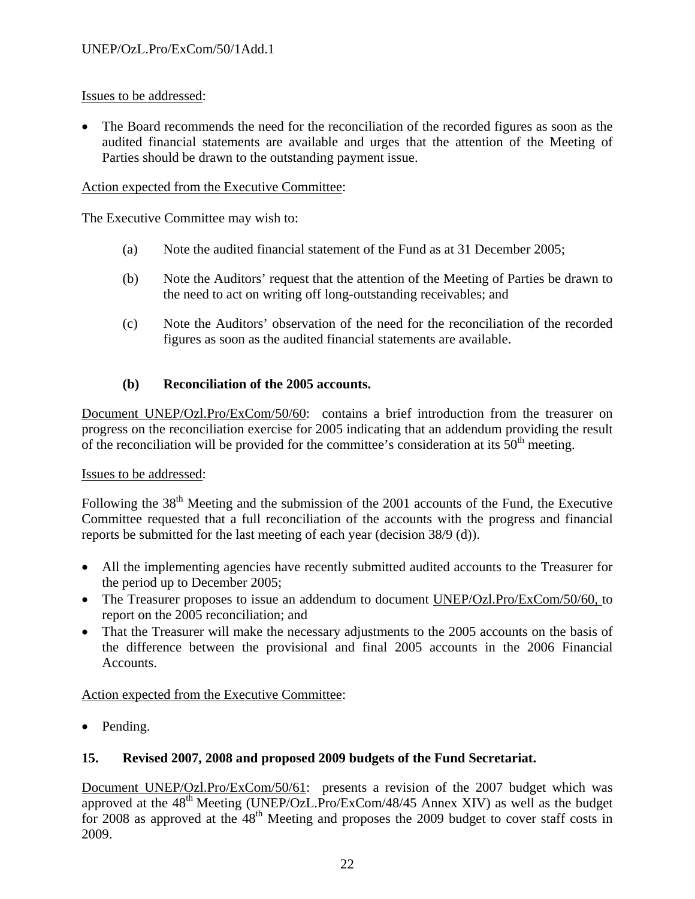• The Board recommends the need for the reconciliation of the recorded figures as soon as the audited financial statements are available and urges that the attention of the Meeting of Parties should be drawn to the outstanding payment issue.

### Action expected from the Executive Committee:

The Executive Committee may wish to:

- (a) Note the audited financial statement of the Fund as at 31 December 2005;
- (b) Note the Auditors' request that the attention of the Meeting of Parties be drawn to the need to act on writing off long-outstanding receivables; and
- (c) Note the Auditors' observation of the need for the reconciliation of the recorded figures as soon as the audited financial statements are available.

# **(b) Reconciliation of the 2005 accounts.**

Document UNEP/Ozl.Pro/ExCom/50/60: contains a brief introduction from the treasurer on progress on the reconciliation exercise for 2005 indicating that an addendum providing the result of the reconciliation will be provided for the committee's consideration at its  $50<sup>th</sup>$  meeting.

# Issues to be addressed:

Following the  $38<sup>th</sup>$  Meeting and the submission of the 2001 accounts of the Fund, the Executive Committee requested that a full reconciliation of the accounts with the progress and financial reports be submitted for the last meeting of each year (decision 38/9 (d)).

- All the implementing agencies have recently submitted audited accounts to the Treasurer for the period up to December 2005;
- The Treasurer proposes to issue an addendum to document UNEP/Ozl.Pro/ExCom/50/60, to report on the 2005 reconciliation; and
- That the Treasurer will make the necessary adjustments to the 2005 accounts on the basis of the difference between the provisional and final 2005 accounts in the 2006 Financial Accounts.

Action expected from the Executive Committee:

• Pending.

# **15. Revised 2007, 2008 and proposed 2009 budgets of the Fund Secretariat.**

Document UNEP/Ozl.Pro/ExCom/50/61: presents a revision of the 2007 budget which was approved at the  $48<sup>th</sup>$  Meeting (UNEP/OzL.Pro/ExCom/48/45 Annex XIV) as well as the budget for 2008 as approved at the  $48<sup>th</sup>$  Meeting and proposes the 2009 budget to cover staff costs in 2009.